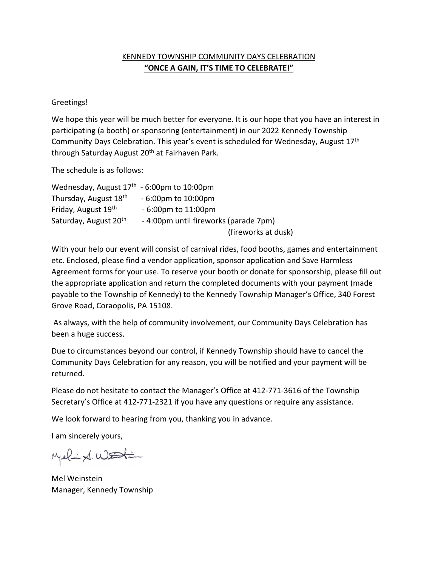### KENNEDY TOWNSHIP COMMUNITY DAYS CELEBRATION **"ONCE A GAIN, IT'S TIME TO CELEBRATE!"**

### Greetings!

We hope this year will be much better for everyone. It is our hope that you have an interest in participating (a booth) or sponsoring (entertainment) in our 2022 Kennedy Township Community Days Celebration. This year's event is scheduled for Wednesday, August 17th through Saturday August 20<sup>th</sup> at Fairhaven Park.

The schedule is as follows:

| Wednesday, August $17th - 6:00pm$ to 10:00pm |                                      |
|----------------------------------------------|--------------------------------------|
| Thursday, August 18 <sup>th</sup>            | $-6:00$ pm to $10:00$ pm             |
| Friday, August 19th                          | $-6:00$ pm to $11:00$ pm             |
| Saturday, August 20 <sup>th</sup>            | -4:00pm until fireworks (parade 7pm) |
|                                              | (fireworks at dusk)                  |

With your help our event will consist of carnival rides, food booths, games and entertainment etc. Enclosed, please find a vendor application, sponsor application and Save Harmless Agreement forms for your use. To reserve your booth or donate for sponsorship, please fill out the appropriate application and return the completed documents with your payment (made payable to the Township of Kennedy) to the Kennedy Township Manager's Office, 340 Forest Grove Road, Coraopolis, PA 15108.

As always, with the help of community involvement, our Community Days Celebration has been a huge success.

Due to circumstances beyond our control, if Kennedy Township should have to cancel the Community Days Celebration for any reason, you will be notified and your payment will be returned.

Please do not hesitate to contact the Manager's Office at 412-771-3616 of the Township Secretary's Office at 412-771-2321 if you have any questions or require any assistance.

We look forward to hearing from you, thanking you in advance.

I am sincerely yours,

Melix WEStin

Mel Weinstein Manager, Kennedy Township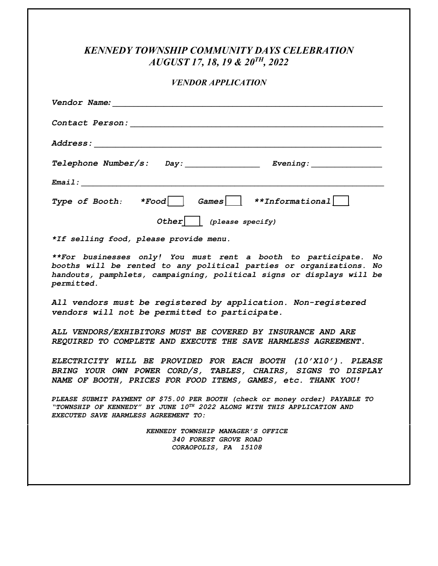# *KENNEDY TOWNSHIP COMMUNITY DAYS CELEBRATION AUGUST 17, 18, 19 & 20TH, 2022*

#### *VENDOR APPLICATION*

| Vendor Name: Name                                                                                                                                                                                                             |  |  |
|-------------------------------------------------------------------------------------------------------------------------------------------------------------------------------------------------------------------------------|--|--|
|                                                                                                                                                                                                                               |  |  |
|                                                                                                                                                                                                                               |  |  |
| Telephone Number/s: Day: ______________ Evening: _______________________________                                                                                                                                              |  |  |
| $E$ mail: $\qquad \qquad$                                                                                                                                                                                                     |  |  |
| Type of Booth: $*Food$ Games $*Informational$                                                                                                                                                                                 |  |  |
| Other $ $ (please specify)                                                                                                                                                                                                    |  |  |
| *If selling food, please provide menu.                                                                                                                                                                                        |  |  |
| **For businesses only! You must rent a booth to participate. No<br>booths will be rented to any political parties or organizations. No<br>handouts, pamphlets, campaigning, political signs or displays will be<br>permitted. |  |  |
| All vendors must be registered by application. Non-registered<br>vendors will not be permitted to participate.                                                                                                                |  |  |
| ALL VENDORS/EXHIBITORS MUST BE COVERED BY INSURANCE AND ARE                                                                                                                                                                   |  |  |

*REQUIRED TO COMPLETE AND EXECUTE THE SAVE HARMLESS AGREEMENT.* 

*ELECTRICITY WILL BE PROVIDED FOR EACH BOOTH (10'X10'). PLEASE BRING YOUR OWN POWER CORD/S, TABLES, CHAIRS, SIGNS TO DISPLAY NAME OF BOOTH, PRICES FOR FOOD ITEMS, GAMES, etc. THANK YOU!* 

*PLEASE SUBMIT PAYMENT OF \$75.00 PER BOOTH (check or money order) PAYABLE TO "TOWNSHIP OF KENNEDY" BY JUNE 10TH 2022 ALONG WITH THIS APPLICATION AND EXECUTED SAVE HARMLESS AGREEMENT TO:* 

> *KENNEDY TOWNSHIP MANAGER'S OFFICE 340 FOREST GROVE ROAD CORAOPOLIS, PA 15108*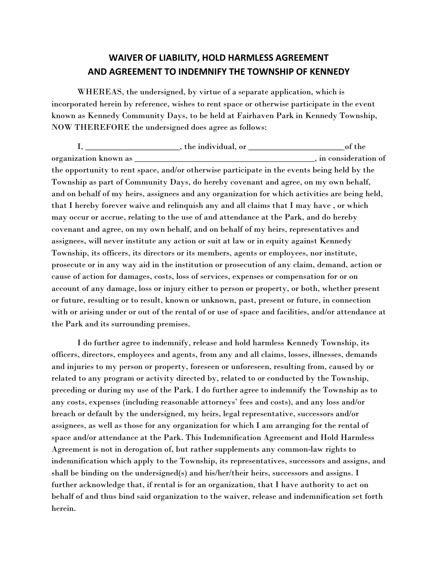## **WAIVER OF LIABILITY, HOLD HARMLESS AGREEMENT AND AGREEMENT TO INDEMNIFY THE TOWNSHIP OF KENNEDY**

WHEREAS, the undersigned, by virtue of a separate application, which is incorporated herein by reference, wishes to rent space or otherwise participate in the event known as Kennedy Community Days, to be held at Fairhaven Park in Kennedy Township, NOW THEREFORE the undersigned does agree as follows:

I, \_\_\_\_\_\_\_\_\_\_\_\_\_\_\_\_\_\_\_\_\_\_, the individual, or \_\_\_\_\_\_\_\_\_\_\_\_\_\_\_\_\_\_\_\_\_\_ of the organization known as \_\_\_\_\_\_\_\_\_\_\_\_\_\_\_\_\_\_\_\_\_\_\_\_\_\_\_\_\_\_\_\_\_\_\_\_\_\_\_\_\_\_, in consideration of the opportunity to rent space, and/or otherwise participate in the events being held by the Township as part of Community Days, do hereby covenant and agree, on my own behalf, and on behalf of my heirs, assignees and any organization for which activities are being held, that I hereby forever waive and relinquish any and all claims that I may have , or which may occur or accrue, relating to the use of and attendance at the Park, and do hereby covenant and agree, on my own behalf, and on behalf of my heirs, representatives and assignees, will never institute any action or suit at law or in equity against Kennedy Township, its officers, its directors or its members, agents or employees, nor institute, prosecute or in any way aid in the institution or prosecution of any claim, demand, action or cause of action for damages, costs, loss of services, expenses or compensation for or on account of any damage, loss or injury either to person or property, or both, whether present or future, resulting or to result, known or unknown, past, present or future, in connection with or arising under or out of the rental of or use of space and facilities, and/or attendance at the Park and its surrounding premises.

I do further agree to indemnify, release and hold harmless Kennedy Township, its officers, directors, employees and agents, from any and all claims, losses, illnesses, demands and injuries to my person or property, foreseen or unforeseen, resulting from, caused by or related to any program or activity directed by, related to or conducted by the Township, preceding or during my use of the Park. I do further agree to indemnify the Township as to any costs, expenses (including reasonable attorneys' fees and costs), and any loss and/or breach or default by the undersigned, my heirs, legal representative, successors and/or assignees, as well as those for any organization for which I am arranging for the rental of space and/or attendance at the Park. This Indemnification Agreement and Hold Harmless Agreement is not in derogation of, but rather supplements any common-law rights to indemnification which apply to the Township, its representatives, successors and assigns, and shall be binding on the undersigned(s) and his/her/their heirs, successors and assigns. I further acknowledge that, if rental is for an organization, that I have authority to act on behalf of and thus bind said organization to the waiver, release and indemnification set forth herein.